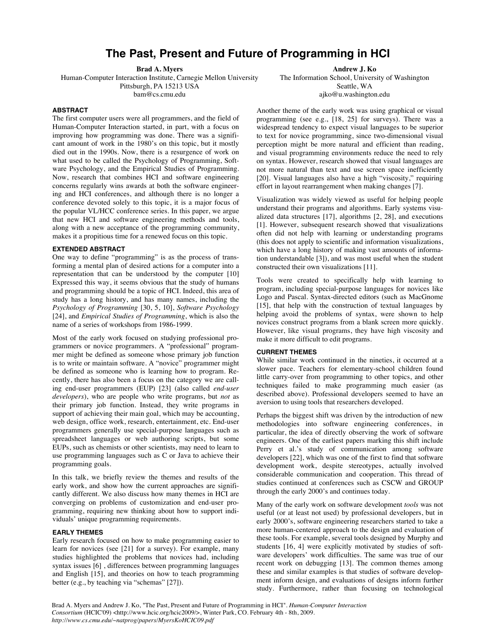# **The Past, Present and Future of Programming in HCI**

**Brad A. Myers**

Human-Computer Interaction Institute, Carnegie Mellon University Pittsburgh, PA 15213 USA bam@cs.cmu.edu

## **ABSTRACT**

The first computer users were all programmers, and the field of Human-Computer Interaction started, in part, with a focus on improving how programming was done. There was a significant amount of work in the 1980's on this topic, but it mostly died out in the 1990s. Now, there is a resurgence of work on what used to be called the Psychology of Programming, Software Psychology, and the Empirical Studies of Programming. Now, research that combines HCI and software engineering concerns regularly wins awards at both the software engineering and HCI conferences, and although there is no longer a conference devoted solely to this topic, it is a major focus of the popular VL/HCC conference series. In this paper, we argue that new HCI and software engineering methods and tools, along with a new acceptance of the programming community, makes it a propitious time for a renewed focus on this topic.

# **EXTENDED ABSTRACT**

One way to define "programming" is as the process of transforming a mental plan of desired actions for a computer into a representation that can be understood by the computer [10] Expressed this way, it seems obvious that the study of humans and programming should be a topic of HCI. Indeed, this area of study has a long history, and has many names, including the *Psychology of Programming* [30, 5, 10], *Software Psychology* [24], and *Empirical Studies of Programming*, which is also the name of a series of workshops from 1986-1999.

Most of the early work focused on studying professional programmers or novice programmers. A "professional" programmer might be defined as someone whose primary job function is to write or maintain software. A "novice" programmer might be defined as someone who is learning how to program. Recently, there has also been a focus on the category we are calling end-user programmers (EUP) [23] (also called *end-user developers*), who are people who write programs, but *not* as their primary job function. Instead, they write programs in support of achieving their main goal, which may be accounting, web design, office work, research, entertainment, etc. End-user programmers generally use special-purpose languages such as spreadsheet languages or web authoring scripts, but some EUPs, such as chemists or other scientists, may need to learn to use programming languages such as C or Java to achieve their programming goals.

In this talk, we briefly review the themes and results of the early work, and show how the current approaches are significantly different. We also discuss how many themes in HCI are converging on problems of customization and end-user programming, requiring new thinking about how to support individuals' unique programming requirements.

#### **EARLY THEMES**

Early research focused on how to make programming easier to learn for novices (see [21] for a survey). For example, many studies highlighted the problems that novices had, including syntax issues [6] , differences between programming languages and English [15], and theories on how to teach programming better (e.g., by teaching via "schemas" [27]).

**Andrew J. Ko**

The Information School, University of Washington Seattle, WA ajko@u.washington.edu

Another theme of the early work was using graphical or visual programming (see e.g., [18, 25] for surveys). There was a widespread tendency to expect visual languages to be superior to text for novice programming, since two-dimensional visual perception might be more natural and efficient than reading, and visual programming environments reduce the need to rely on syntax. However, research showed that visual languages are not more natural than text and use screen space inefficiently [20]. Visual languages also have a high "viscosity," requiring effort in layout rearrangement when making changes [7].

Visualization was widely viewed as useful for helping people understand their programs and algorithms. Early systems visualized data structures [17], algorithms [2, 28], and executions [1]. However, subsequent research showed that visualizations often did not help with learning or understanding programs (this does not apply to scientific and information visualizations, which have a long history of making vast amounts of information understandable [3]), and was most useful when the student constructed their own visualizations [11].

Tools were created to specifically help with learning to program, including special-purpose languages for novices like Logo and Pascal. Syntax-directed editors (such as MacGnome [15], that help with the construction of textual languages by helping avoid the problems of syntax, were shown to help novices construct programs from a blank screen more quickly. However, like visual programs, they have high viscosity and make it more difficult to edit programs.

### **CURRENT THEMES**

While similar work continued in the nineties, it occurred at a slower pace. Teachers for elementary-school children found little carry-over from programming to other topics, and other techniques failed to make programming much easier (as described above). Professional developers seemed to have an aversion to using tools that researchers developed.

Perhaps the biggest shift was driven by the introduction of new methodologies into software engineering conferences, in particular, the idea of directly observing the work of software engineers. One of the earliest papers marking this shift include Perry et al.'s study of communication among software developers [22], which was one of the first to find that software development work, despite stereotypes, actually involved considerable communication and cooperation. This thread of studies continued at conferences such as CSCW and GROUP through the early 2000's and continues today.

Many of the early work on software development *tools* was not useful (or at least not used) by professional developers, but in early 2000's, software engineering researchers started to take a more human-centered approach to the design and evaluation of these tools. For example, several tools designed by Murphy and students [16, 4] were explicitly motivated by studies of software developers' work difficulties. The same was true of our recent work on debugging [13]. The common themes among these and similar examples is that studies of software development inform design, and evaluations of designs inform further study. Furthermore, rather than focusing on technological

Brad A. Myers and Andrew J. Ko, "The Past, Present and Future of Programming in HCI". *Human-Computer Interaction Consortium* (HCIC'09) <http://www.hcic.org/hcic2009/>, Winter Park, CO. February 4th - 8th, 2009. *http://www.cs.cmu.edu/~natprog/papers/MyersKoHCIC09.pdf*